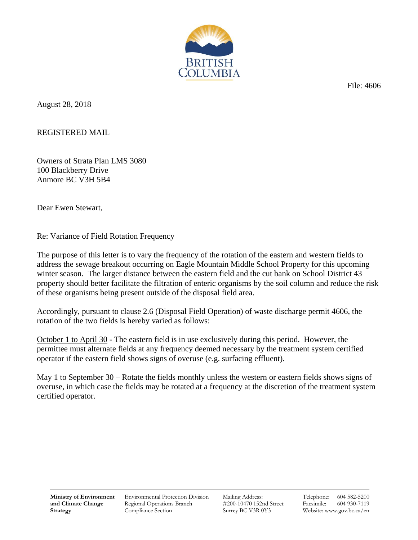

File: 4606

August 28, 2018

REGISTERED MAIL

Owners of Strata Plan LMS 3080 100 Blackberry Drive Anmore BC V3H 5B4

Dear Ewen Stewart,

## Re: Variance of Field Rotation Frequency

The purpose of this letter is to vary the frequency of the rotation of the eastern and western fields to address the sewage breakout occurring on Eagle Mountain Middle School Property for this upcoming winter season. The larger distance between the eastern field and the cut bank on School District 43 property should better facilitate the filtration of enteric organisms by the soil column and reduce the risk of these organisms being present outside of the disposal field area.

Accordingly, pursuant to clause 2.6 (Disposal Field Operation) of waste discharge permit 4606, the rotation of the two fields is hereby varied as follows:

October 1 to April 30 - The eastern field is in use exclusively during this period. However, the permittee must alternate fields at any frequency deemed necessary by the treatment system certified operator if the eastern field shows signs of overuse (e.g. surfacing effluent).

May 1 to September 30 – Rotate the fields monthly unless the western or eastern fields shows signs of overuse, in which case the fields may be rotated at a frequency at the discretion of the treatment system certified operator.

Environmental Protection Division Regional Operations Branch Compliance Section

Mailing Address: #200-10470 152nd Street Surrey BC V3R 0Y3